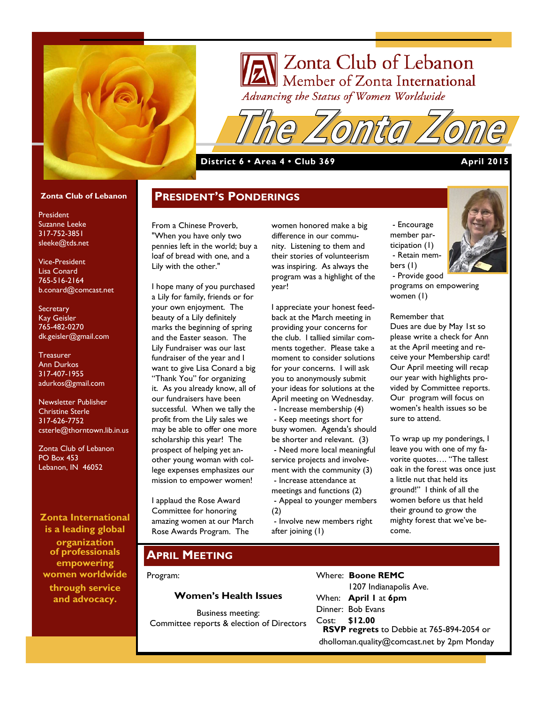

# Zonta Club of Lebanon Member of Zonta International Advancing the Status of Women Worldwide

**District 6 • Area 4 • Club 369 April 2015** 

#### **Zonta Club of Lebanon**

President Suzanne Leeke 317-752-3851 sleeke@tds.net

Vice-President Lisa Conard 765-516-2164 b.conard@comcast.net

**Secretary** Kay Geisler 765-482-0270 dk.geisler@gmail.com

**Treasurer** Ann Durkos 317-407-1955 adurkos@gmail.com

Newsletter Publisher Christine Sterle 317-626-7752 csterle@thorntown.lib.in.us

Zonta Club of Lebanon PO Box 453 Lebanon, IN 46052

**Zonta International is a leading global** 

**organization of professionals empowering women worldwide through service and advocacy.**

## **PRESIDENT'S PONDERINGS**

From a Chinese Proverb, "When you have only two pennies left in the world; buy a loaf of bread with one, and a Lily with the other."

I hope many of you purchased a Lily for family, friends or for your own enjoyment. The beauty of a Lily definitely marks the beginning of spring and the Easter season. The Lily Fundraiser was our last fundraiser of the year and I want to give Lisa Conard a big "Thank You" for organizing it. As you already know, all of our fundraisers have been successful. When we tally the profit from the Lily sales we may be able to offer one more scholarship this year! The prospect of helping yet another young woman with college expenses emphasizes our mission to empower women!

I applaud the Rose Award Committee for honoring amazing women at our March Rose Awards Program. The

women honored make a big difference in our community. Listening to them and their stories of volunteerism was inspiring. As always the program was a highlight of the year!

I appreciate your honest feedback at the March meeting in providing your concerns for the club. I tallied similar comments together. Please take a moment to consider solutions for your concerns. I will ask you to anonymously submit your ideas for solutions at the April meeting on Wednesday. - Increase membership (4)

- Keep meetings short for busy women. Agenda's should be shorter and relevant. (3) - Need more local meaningful service projects and involvement with the community (3) - Increase attendance at meetings and functions (2) - Appeal to younger members (2)

- Involve new members right after joining (1)

- Encourage member participation (1) - Retain members (1) - Provide good



programs on empowering women (1)

Remember that

Dues are due by May 1st so please write a check for Ann at the April meeting and receive your Membership card! Our April meeting will recap our year with highlights provided by Committee reports. Our program will focus on women's health issues so be sure to attend.

To wrap up my ponderings, I leave you with one of my favorite quotes…. "The tallest oak in the forest was once just a little nut that held its ground!" I think of all the women before us that held their ground to grow the mighty forest that we've become.

### **APRIL MEETING**

Program:

#### **Women's Health Issues**

Business meeting: Committee reports & election of Directors Where: **Boone REMC** 1207 Indianapolis Ave. When: **April 1** at **6pm** Dinner: Bob Evans Cost: **\$12.00 RSVP regrets** to Debbie at 765-894-2054 or dholloman.quality@comcast.net by 2pm Monday